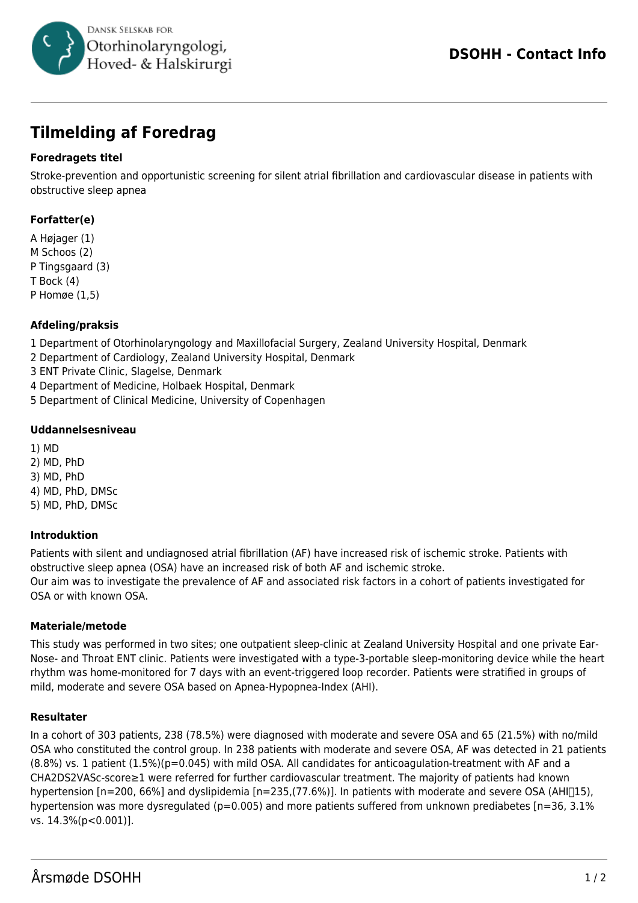

# **Tilmelding af Foredrag**

## **Foredragets titel**

Stroke-prevention and opportunistic screening for silent atrial fibrillation and cardiovascular disease in patients with obstructive sleep apnea

## **Forfatter(e)**

A Højager (1) M Schoos (2) P Tingsgaard (3) T Bock (4) P Homøe (1,5)

## **Afdeling/praksis**

1 Department of Otorhinolaryngology and Maxillofacial Surgery, Zealand University Hospital, Denmark

2 Department of Cardiology, Zealand University Hospital, Denmark

3 ENT Private Clinic, Slagelse, Denmark

4 Department of Medicine, Holbaek Hospital, Denmark

5 Department of Clinical Medicine, University of Copenhagen

#### **Uddannelsesniveau**

1) MD 2) MD, PhD 3) MD, PhD 4) MD, PhD, DMSc 5) MD, PhD, DMSc

### **Introduktion**

Patients with silent and undiagnosed atrial fibrillation (AF) have increased risk of ischemic stroke. Patients with obstructive sleep apnea (OSA) have an increased risk of both AF and ischemic stroke. Our aim was to investigate the prevalence of AF and associated risk factors in a cohort of patients investigated for OSA or with known OSA.

### **Materiale/metode**

This study was performed in two sites; one outpatient sleep-clinic at Zealand University Hospital and one private Ear-Nose- and Throat ENT clinic. Patients were investigated with a type-3-portable sleep-monitoring device while the heart rhythm was home-monitored for 7 days with an event-triggered loop recorder. Patients were stratified in groups of mild, moderate and severe OSA based on Apnea-Hypopnea-Index (AHI).

### **Resultater**

In a cohort of 303 patients, 238 (78.5%) were diagnosed with moderate and severe OSA and 65 (21.5%) with no/mild OSA who constituted the control group. In 238 patients with moderate and severe OSA, AF was detected in 21 patients  $(8.8%)$  vs. 1 patient  $(1.5%)$  (p=0.045) with mild OSA. All candidates for anticoagulation-treatment with AF and a CHA2DS2VASc-score≥1 were referred for further cardiovascular treatment. The majority of patients had known hypertension [n=200, 66%] and dyslipidemia [n=235,(77.6%)]. In patients with moderate and severe OSA (AHI<sup>[15]</sup>), hypertension was more dysregulated (p=0.005) and more patients suffered from unknown prediabetes [n=36, 3.1% vs. 14.3%(p<0.001)].